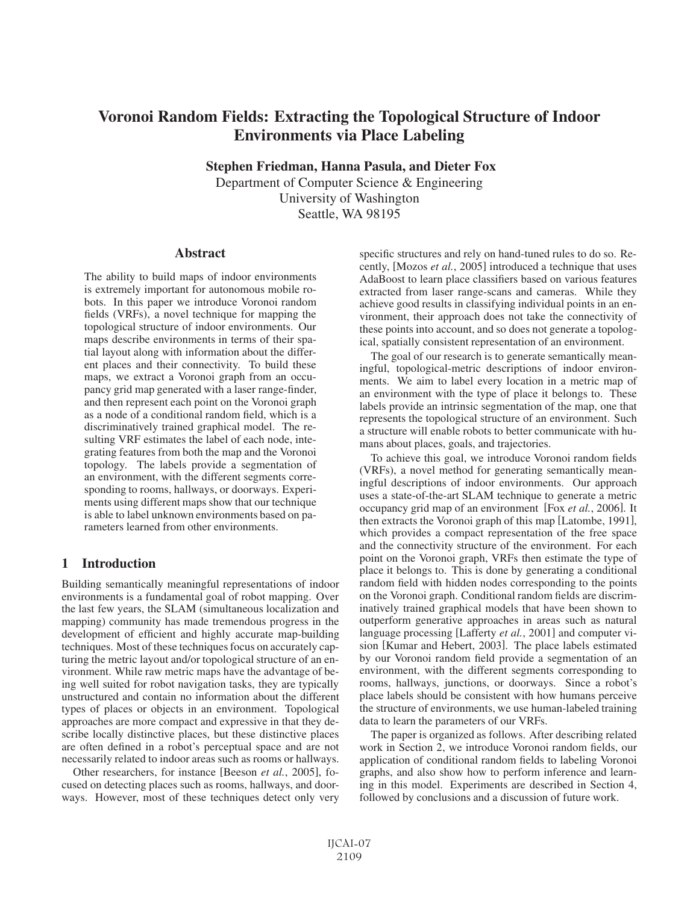# Voronoi Random Fields: Extracting the Topological Structure of Indoor Environments via Place Labeling

Stephen Friedman, Hanna Pasula, and Dieter Fox

Department of Computer Science & Engineering University of Washington Seattle, WA 98195

### Abstract

The ability to build maps of indoor environments is extremely important for autonomous mobile robots. In this paper we introduce Voronoi random fields (VRFs), a novel technique for mapping the topological structure of indoor environments. Our maps describe environments in terms of their spatial layout along with information about the different places and their connectivity. To build these maps, we extract a Voronoi graph from an occupancy grid map generated with a laser range-finder, and then represent each point on the Voronoi graph as a node of a conditional random field, which is a discriminatively trained graphical model. The resulting VRF estimates the label of each node, integrating features from both the map and the Voronoi topology. The labels provide a segmentation of an environment, with the different segments corresponding to rooms, hallways, or doorways. Experiments using different maps show that our technique is able to label unknown environments based on parameters learned from other environments.

# 1 Introduction

Building semantically meaningful representations of indoor environments is a fundamental goal of robot mapping. Over the last few years, the SLAM (simultaneous localization and mapping) community has made tremendous progress in the development of efficient and highly accurate map-building techniques. Most of these techniques focus on accurately capturing the metric layout and/or topological structure of an environment. While raw metric maps have the advantage of being well suited for robot navigation tasks, they are typically unstructured and contain no information about the different types of places or objects in an environment. Topological approaches are more compact and expressive in that they describe locally distinctive places, but these distinctive places are often defined in a robot's perceptual space and are not necessarily related to indoor areas such as rooms or hallways.

Other researchers, for instance [Beeson *et al.*, 2005], focused on detecting places such as rooms, hallways, and doorways. However, most of these techniques detect only very specific structures and rely on hand-tuned rules to do so. Recently, [Mozos *et al.*, 2005] introduced a technique that uses AdaBoost to learn place classifiers based on various features extracted from laser range-scans and cameras. While they achieve good results in classifying individual points in an environment, their approach does not take the connectivity of these points into account, and so does not generate a topological, spatially consistent representation of an environment.

The goal of our research is to generate semantically meaningful, topological-metric descriptions of indoor environments. We aim to label every location in a metric map of an environment with the type of place it belongs to. These labels provide an intrinsic segmentation of the map, one that represents the topological structure of an environment. Such a structure will enable robots to better communicate with humans about places, goals, and trajectories.

To achieve this goal, we introduce Voronoi random fields (VRFs), a novel method for generating semantically meaningful descriptions of indoor environments. Our approach uses a state-of-the-art SLAM technique to generate a metric occupancy grid map of an environment [Fox *et al.*, 2006]. It then extracts the Voronoi graph of this map [Latombe, 1991], which provides a compact representation of the free space and the connectivity structure of the environment. For each point on the Voronoi graph, VRFs then estimate the type of place it belongs to. This is done by generating a conditional random field with hidden nodes corresponding to the points on the Voronoi graph. Conditional random fields are discriminatively trained graphical models that have been shown to outperform generative approaches in areas such as natural language processing [Lafferty *et al.*, 2001] and computer vision [Kumar and Hebert, 2003]. The place labels estimated by our Voronoi random field provide a segmentation of an environment, with the different segments corresponding to rooms, hallways, junctions, or doorways. Since a robot's place labels should be consistent with how humans perceive the structure of environments, we use human-labeled training data to learn the parameters of our VRFs.

The paper is organized as follows. After describing related work in Section 2, we introduce Voronoi random fields, our application of conditional random fields to labeling Voronoi graphs, and also show how to perform inference and learning in this model. Experiments are described in Section 4, followed by conclusions and a discussion of future work.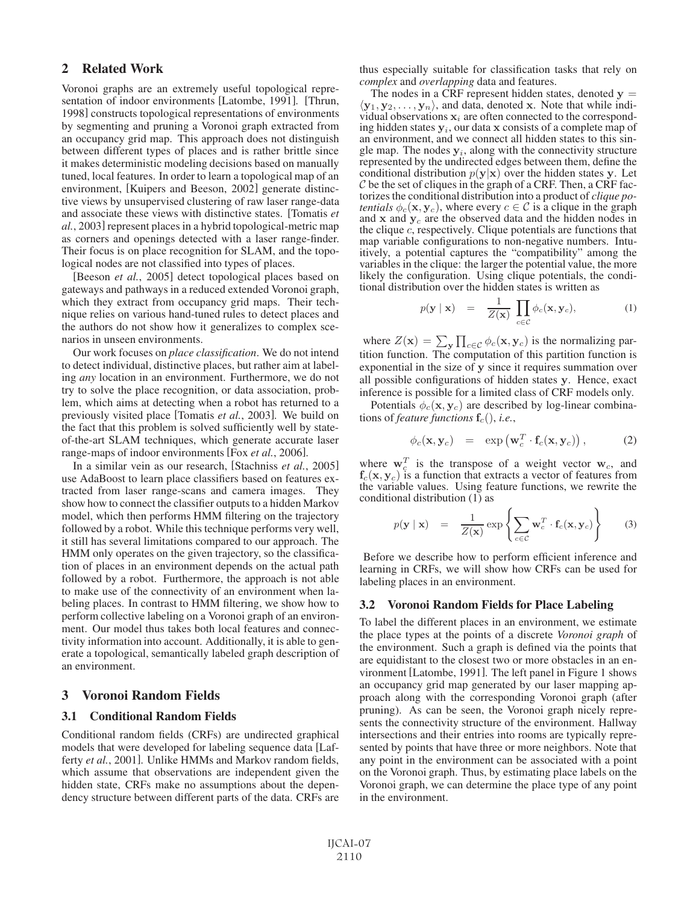# 2 Related Work

Voronoi graphs are an extremely useful topological representation of indoor environments [Latombe, 1991]. [Thrun, 1998] constructs topological representations of environments by segmenting and pruning a Voronoi graph extracted from an occupancy grid map. This approach does not distinguish between different types of places and is rather brittle since it makes deterministic modeling decisions based on manually tuned, local features. In order to learn a topological map of an environment, [Kuipers and Beeson, 2002] generate distinctive views by unsupervised clustering of raw laser range-data and associate these views with distinctive states. [Tomatis *et al.*, 2003] represent places in a hybrid topological-metric map as corners and openings detected with a laser range-finder. Their focus is on place recognition for SLAM, and the topological nodes are not classified into types of places.

[Beeson *et al.*, 2005] detect topological places based on gateways and pathways in a reduced extended Voronoi graph, which they extract from occupancy grid maps. Their technique relies on various hand-tuned rules to detect places and the authors do not show how it generalizes to complex scenarios in unseen environments.

Our work focuses on *place classification*. We do not intend to detect individual, distinctive places, but rather aim at labeling *any* location in an environment. Furthermore, we do not try to solve the place recognition, or data association, problem, which aims at detecting when a robot has returned to a previously visited place [Tomatis *et al.*, 2003]. We build on the fact that this problem is solved sufficiently well by stateof-the-art SLAM techniques, which generate accurate laser range-maps of indoor environments [Fox *et al.*, 2006].

In a similar vein as our research, [Stachniss *et al.*, 2005] use AdaBoost to learn place classifiers based on features extracted from laser range-scans and camera images. They show how to connect the classifier outputs to a hidden Markov model, which then performs HMM filtering on the trajectory followed by a robot. While this technique performs very well, it still has several limitations compared to our approach. The HMM only operates on the given trajectory, so the classification of places in an environment depends on the actual path followed by a robot. Furthermore, the approach is not able to make use of the connectivity of an environment when labeling places. In contrast to HMM filtering, we show how to perform collective labeling on a Voronoi graph of an environment. Our model thus takes both local features and connectivity information into account. Additionally, it is able to generate a topological, semantically labeled graph description of an environment.

### 3 Voronoi Random Fields

### 3.1 Conditional Random Fields

Conditional random fields (CRFs) are undirected graphical models that were developed for labeling sequence data [Lafferty *et al.*, 2001]. Unlike HMMs and Markov random fields, which assume that observations are independent given the hidden state, CRFs make no assumptions about the dependency structure between different parts of the data. CRFs are thus especially suitable for classification tasks that rely on *complex* and *overlapping* data and features.<br>The nodes in a CRF represent hidden states, denoted  $y =$ 

The nodes in a CRF represent hidden states, denoted **y** =  $\langle y_1, y_2, \dots, y_n \rangle$ , and data, denoted **x**. Note that while individual observations  $x_i$  are often connected to the corresponding hidden states  $y_i$ , our data **x** consists of a complete map of an environment, and we connect all hidden states to this single map. The nodes  $y_i$ , along with the connectivity structure represented by the undirected edges between them, define the conditional distribution  $p(y|x)$  over the hidden states **y**. Let  $C$  be the set of cliques in the graph of a CRF. Then, a CRF factorizes the conditional distribution into a product of *clique potentials*  $\phi_c(\mathbf{x}, \mathbf{y}_c)$ , where every  $c \in \mathcal{C}$  is a clique in the graph and  $x$  and  $y_c$  are the observed data and the hidden nodes in the clique  $c$ , respectively. Clique potentials are functions that map variable configurations to non-negative numbers. Intuitively, a potential captures the "compatibility" among the variables in the clique: the larger the potential value, the more likely the configuration. Using clique potentials, the conditional distribution over the hidden states is written as

$$
p(\mathbf{y} \mid \mathbf{x}) = \frac{1}{Z(\mathbf{x})} \prod_{c \in C} \phi_c(\mathbf{x}, \mathbf{y}_c), \tag{1}
$$

where  $Z(\mathbf{x}) = \sum_{\mathbf{y}} \prod_{c \in \mathcal{C}} \phi_c(\mathbf{x}, \mathbf{y}_c)$  is the normalizing partition function. The computation of this partition function is exponential in the size of **y** since it requires summation over all possible configurations of hidden states **y**. Hence, exact inference is possible for a limited class of CRF models only.

Potentials  $\phi_c(\mathbf{x}, \mathbf{y}_c)$  are described by log-linear combinations of *feature functions*  $f_c($ , *i.e.*,

$$
\phi_c(\mathbf{x}, \mathbf{y}_c) = \exp(\mathbf{w}_c^T \cdot \mathbf{f}_c(\mathbf{x}, \mathbf{y}_c)), \qquad (2)
$$

where  $\mathbf{w}_c^T$  is the transpose of a weight vector  $\mathbf{w}_c$ , and  $f_c(x, y_c)$  is a function that extracts a vector of features from the variable values. Using feature functions, we rewrite the conditional distribution (1) as

$$
p(\mathbf{y} \mid \mathbf{x}) = \frac{1}{Z(\mathbf{x})} \exp \left\{ \sum_{c \in C} \mathbf{w}_c^T \cdot \mathbf{f}_c(\mathbf{x}, \mathbf{y}_c) \right\} \tag{3}
$$

Before we describe how to perform efficient inference and learning in CRFs, we will show how CRFs can be used for labeling places in an environment.

#### 3.2 Voronoi Random Fields for Place Labeling

To label the different places in an environment, we estimate the place types at the points of a discrete *Voronoi graph* of the environment. Such a graph is defined via the points that are equidistant to the closest two or more obstacles in an environment [Latombe, 1991]. The left panel in Figure 1 shows an occupancy grid map generated by our laser mapping approach along with the corresponding Voronoi graph (after pruning). As can be seen, the Voronoi graph nicely represents the connectivity structure of the environment. Hallway intersections and their entries into rooms are typically represented by points that have three or more neighbors. Note that any point in the environment can be associated with a point on the Voronoi graph. Thus, by estimating place labels on the Voronoi graph, we can determine the place type of any point in the environment.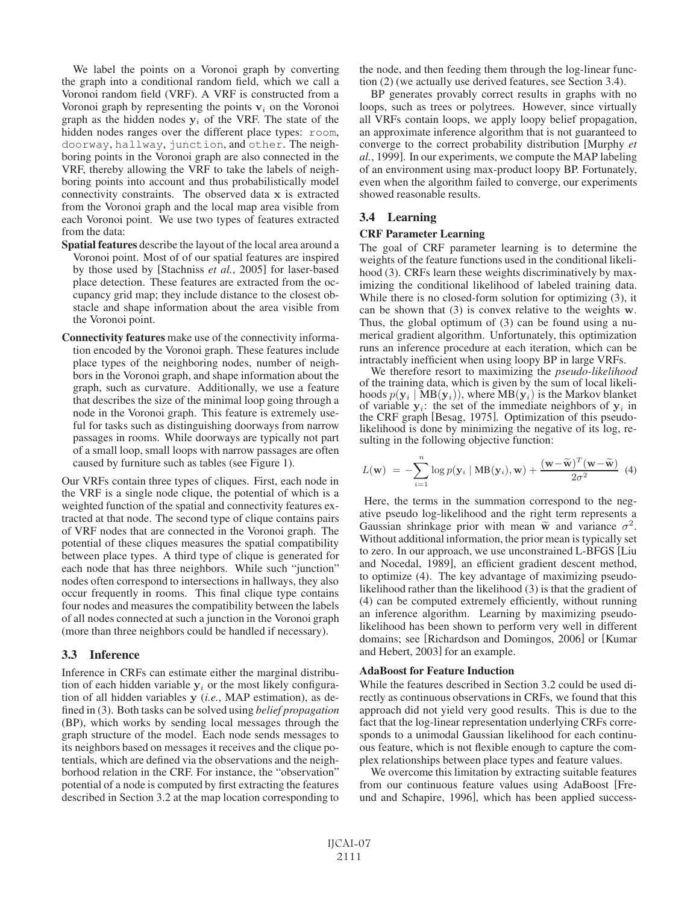We label the points on a Voronoi graph by converting the graph into a conditional random field, which we call a Voronoi random field (VRF). A VRF is constructed from a Voronoi graph by representing the points  $v_i$  on the Voronoi graph as the hidden nodes  $y_i$  of the VRF. The state of the hidden nodes ranges over the different place types: room, doorway, hallway, junction, and other. The neighboring points in the Voronoi graph are also connected in the VRF, thereby allowing the VRF to take the labels of neighboring points into account and thus probabilistically model connectivity constraints. The observed data **x** is extracted from the Voronoi graph and the local map area visible from each Voronoi point. We use two types of features extracted from the data:

- Spatial features describe the layout of the local area around a Voronoi point. Most of of our spatial features are inspired by those used by [Stachniss *et al.*, 2005] for laser-based place detection. These features are extracted from the occupancy grid map; they include distance to the closest obstacle and shape information about the area visible from the Voronoi point.
- Connectivity features make use of the connectivity information encoded by the Voronoi graph. These features include place types of the neighboring nodes, number of neighbors in the Voronoi graph, and shape information about the graph, such as curvature. Additionally, we use a feature that describes the size of the minimal loop going through a node in the Voronoi graph. This feature is extremely useful for tasks such as distinguishing doorways from narrow passages in rooms. While doorways are typically not part of a small loop, small loops with narrow passages are often caused by furniture such as tables (see Figure 1).

Our VRFs contain three types of cliques. First, each node in the VRF is a single node clique, the potential of which is a weighted function of the spatial and connectivity features extracted at that node. The second type of clique contains pairs of VRF nodes that are connected in the Voronoi graph. The potential of these cliques measures the spatial compatibility between place types. A third type of clique is generated for each node that has three neighbors. While such "junction" nodes often correspond to intersections in hallways, they also occur frequently in rooms. This final clique type contains four nodes and measures the compatibility between the labels of all nodes connected at such a junction in the Voronoi graph (more than three neighbors could be handled if necessary).

### 3.3 Inference

Inference in CRFs can estimate either the marginal distribution of each hidden variable  $y_i$  or the most likely configuration of all hidden variables **y** (*i.e.*, MAP estimation), as defined in (3). Both tasks can be solved using *belief propagation* (BP), which works by sending local messages through the graph structure of the model. Each node sends messages to its neighbors based on messages it receives and the clique potentials, which are defined via the observations and the neighborhood relation in the CRF. For instance, the "observation" potential of a node is computed by first extracting the features described in Section 3.2 at the map location corresponding to the node, and then feeding them through the log-linear function (2) (we actually use derived features, see Section 3.4).

BP generates provably correct results in graphs with no loops, such as trees or polytrees. However, since virtually all VRFs contain loops, we apply loopy belief propagation, an approximate inference algorithm that is not guaranteed to converge to the correct probability distribution [Murphy *et al.*, 1999]. In our experiments, we compute the MAP labeling of an environment using max-product loopy BP. Fortunately, even when the algorithm failed to converge, our experiments showed reasonable results.

# 3.4 Learning

# CRF Parameter Learning

The goal of CRF parameter learning is to determine the weights of the feature functions used in the conditional likelihood (3). CRFs learn these weights discriminatively by maximizing the conditional likelihood of labeled training data. While there is no closed-form solution for optimizing (3), it can be shown that (3) is convex relative to the weights **w**. Thus, the global optimum of (3) can be found using a numerical gradient algorithm. Unfortunately, this optimization runs an inference procedure at each iteration, which can be intractably inefficient when using loopy BP in large VRFs.

We therefore resort to maximizing the *pseudo-likelihood* of the training data, which is given by the sum of local likelihoods  $p(\mathbf{y}_i | \mathbf{MB}(\mathbf{y}_i))$ , where  $MB(\mathbf{y}_i)$  is the Markov blanket of variable  $y_i$ : the set of the immediate neighbors of  $y_i$  in the CRF graph [Besag, 1975]. Optimization of this pseudolikelihood is done by minimizing the negative of its log, resulting in the following objective function:

$$
L(\mathbf{w}) = -\sum_{i=1}^{n} \log p(\mathbf{y}_i \mid \mathbf{MB}(\mathbf{y}_i), \mathbf{w}) + \frac{(\mathbf{w} - \widetilde{\mathbf{w}})^T (\mathbf{w} - \widetilde{\mathbf{w}})}{2\sigma^2}
$$
(4)

Here, the terms in the summation correspond to the negative pseudo log-likelihood and the right term represents a Gaussian shrinkage prior with mean  $\tilde{w}$  and variance  $\sigma^2$ . Without additional information, the prior mean is typically set to zero. In our approach, we use unconstrained L-BFGS [Liu and Nocedal, 1989], an efficient gradient descent method, to optimize (4). The key advantage of maximizing pseudolikelihood rather than the likelihood (3) is that the gradient of (4) can be computed extremely efficiently, without running an inference algorithm. Learning by maximizing pseudolikelihood has been shown to perform very well in different domains; see [Richardson and Domingos, 2006] or [Kumar and Hebert, 2003] for an example.

# AdaBoost for Feature Induction

While the features described in Section 3.2 could be used directly as continuous observations in CRFs, we found that this approach did not yield very good results. This is due to the fact that the log-linear representation underlying CRFs corresponds to a unimodal Gaussian likelihood for each continuous feature, which is not flexible enough to capture the complex relationships between place types and feature values.

We overcome this limitation by extracting suitable features from our continuous feature values using AdaBoost [Freund and Schapire, 1996], which has been applied success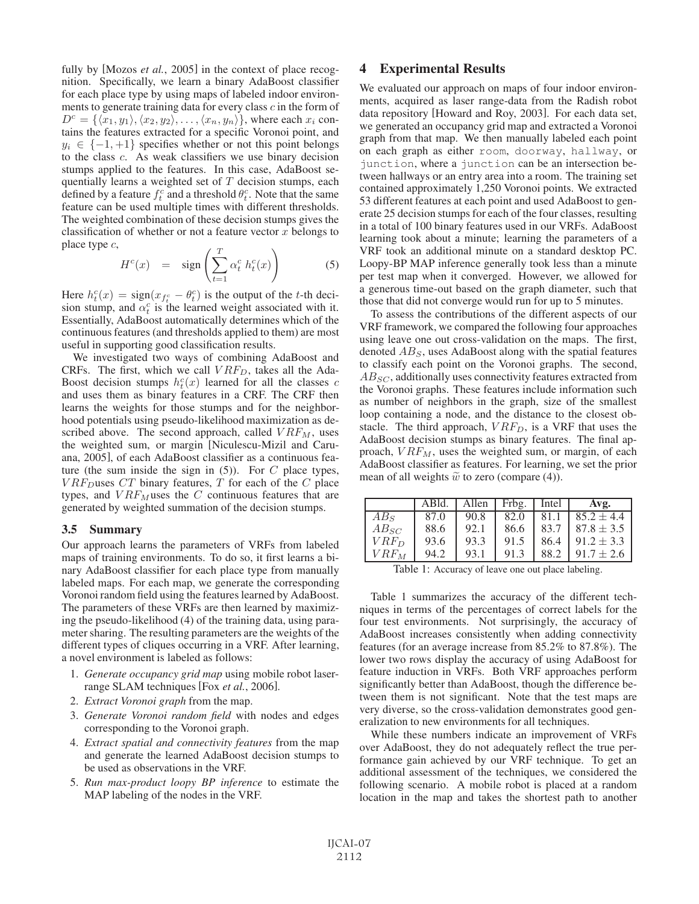fully by [Mozos *et al.*, 2005] in the context of place recognition. Specifically, we learn a binary AdaBoost classifier for each place type by using maps of labeled indoor environments to generate training data for every class c in the form of  $D^c = \{ \langle x_1, y_1 \rangle, \langle x_2, y_2 \rangle, \dots, \langle x_n, y_n \rangle \},\$  where each  $x_i$  contains the features extracted for a specific Voronoi point, and  $y_i \in \{-1, +1\}$  specifies whether or not this point belongs to the class c. As weak classifiers we use binary decision stumps applied to the features. In this case, AdaBoost sequentially learns a weighted set of  $T$  decision stumps, each defined by a feature  $f_t^c$  and a threshold  $\theta_t^c$ . Note that the same feature can be used multiple times with different thresholds. The weighted combination of these decision stumps gives the classification of whether or not a feature vector  $x$  belongs to place type c,

$$
H^{c}(x) = \text{sign}\left(\sum_{t=1}^{T} \alpha_{t}^{c} h_{t}^{c}(x)\right) \tag{5}
$$

Here  $h_t^c(x) = \text{sign}(x_{f_t^c} - \theta_t^c)$  is the output of the t-th decision stump, and  $\alpha_t^c$  is the learned weight associated with it. Essentially, AdaBoost automatically determines which of the continuous features (and thresholds applied to them) are most useful in supporting good classification results.

We investigated two ways of combining AdaBoost and CRFs. The first, which we call  $VRF_D$ , takes all the Ada-Boost decision stumps  $h_t^c(x)$  learned for all the classes c and uses them as binary features in a CRF. The CRF then learns the weights for those stumps and for the neighborhood potentials using pseudo-likelihood maximization as described above. The second approach, called  $VRF_M$ , uses the weighted sum, or margin [Niculescu-Mizil and Caruana, 2005], of each AdaBoost classifier as a continuous feature (the sum inside the sign in  $(5)$ ). For C place types,  $VRF_D$ uses  $CT$  binary features,  $T$  for each of the  $C$  place types, and  $VRF_M$  uses the C continuous features that are generated by weighted summation of the decision stumps.

#### 3.5 Summary

Our approach learns the parameters of VRFs from labeled maps of training environments. To do so, it first learns a binary AdaBoost classifier for each place type from manually labeled maps. For each map, we generate the corresponding Voronoi random field using the features learned by AdaBoost. The parameters of these VRFs are then learned by maximizing the pseudo-likelihood (4) of the training data, using parameter sharing. The resulting parameters are the weights of the different types of cliques occurring in a VRF. After learning, a novel environment is labeled as follows:

- 1. *Generate occupancy grid map* using mobile robot laserrange SLAM techniques [Fox *et al.*, 2006].
- 2. *Extract Voronoi graph* from the map.
- 3. *Generate Voronoi random field* with nodes and edges corresponding to the Voronoi graph.
- 4. *Extract spatial and connectivity features* from the map and generate the learned AdaBoost decision stumps to be used as observations in the VRF.
- 5. *Run max-product loopy BP inference* to estimate the MAP labeling of the nodes in the VRF.

## 4 Experimental Results

We evaluated our approach on maps of four indoor environments, acquired as laser range-data from the Radish robot data repository [Howard and Roy, 2003]. For each data set, we generated an occupancy grid map and extracted a Voronoi graph from that map. We then manually labeled each point on each graph as either room, doorway, hallway, or junction, where a junction can be an intersection between hallways or an entry area into a room. The training set contained approximately 1,250 Voronoi points. We extracted 53 different features at each point and used AdaBoost to generate 25 decision stumps for each of the four classes, resulting in a total of 100 binary features used in our VRFs. AdaBoost learning took about a minute; learning the parameters of a VRF took an additional minute on a standard desktop PC. Loopy-BP MAP inference generally took less than a minute per test map when it converged. However, we allowed for a generous time-out based on the graph diameter, such that those that did not converge would run for up to 5 minutes.

To assess the contributions of the different aspects of our VRF framework, we compared the following four approaches using leave one out cross-validation on the maps. The first, denoted  $AB<sub>S</sub>$ , uses AdaBoost along with the spatial features to classify each point on the Voronoi graphs. The second,  $AB_{SC}$ , additionally uses connectivity features extracted from the Voronoi graphs. These features include information such as number of neighbors in the graph, size of the smallest loop containing a node, and the distance to the closest obstacle. The third approach,  $VRF_D$ , is a VRF that uses the AdaBoost decision stumps as binary features. The final approach,  $VRF_M$ , uses the weighted sum, or margin, of each AdaBoost classifier as features. For learning, we set the prior mean of all weights  $\tilde{w}$  to zero (compare (4)).

|           | ABld. | Allen | Frbg. | Intel | Avg.           |
|-----------|-------|-------|-------|-------|----------------|
| $AB_S$    | 87.0  | 90.8  | 82.0  | 81.1  | $85.2 \pm 4.4$ |
| $AB_{SC}$ | 88.6  | 92.1  | 86.6  | 83.7  | $87.8 \pm 3.5$ |
| $VRF_D$   | 93.6  | 93.3  | 91.5  | 86.4  | $91.2 \pm 3.3$ |
| $VRF_M$   | 94.2  | 93.1  | 91.3  | 88.2  | $91.7 \pm 2.6$ |

Table 1: Accuracy of leave one out place labeling.

Table 1 summarizes the accuracy of the different techniques in terms of the percentages of correct labels for the four test environments. Not surprisingly, the accuracy of AdaBoost increases consistently when adding connectivity features (for an average increase from 85.2% to 87.8%). The lower two rows display the accuracy of using AdaBoost for feature induction in VRFs. Both VRF approaches perform significantly better than AdaBoost, though the difference between them is not significant. Note that the test maps are very diverse, so the cross-validation demonstrates good generalization to new environments for all techniques.

While these numbers indicate an improvement of VRFs over AdaBoost, they do not adequately reflect the true performance gain achieved by our VRF technique. To get an additional assessment of the techniques, we considered the following scenario. A mobile robot is placed at a random location in the map and takes the shortest path to another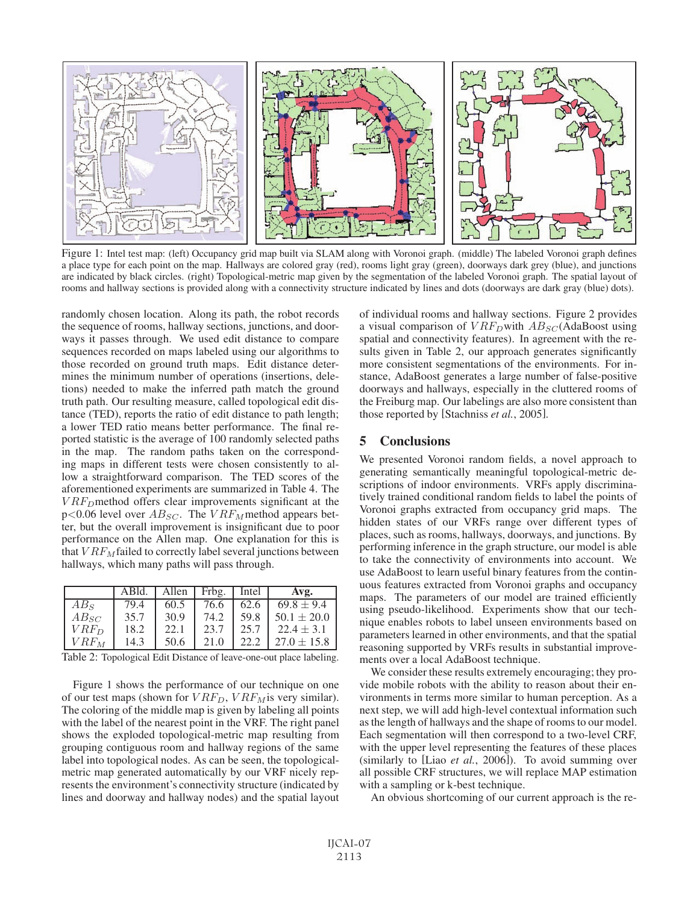

Figure 1: Intel test map: (left) Occupancy grid map built via SLAM along with Voronoi graph. (middle) The labeled Voronoi graph defines a place type for each point on the map. Hallways are colored gray (red), rooms light gray (green), doorways dark grey (blue), and junctions are indicated by black circles. (right) Topological-metric map given by the segmentation of the labeled Voronoi graph. The spatial layout of rooms and hallway sections is provided along with a connectivity structure indicated by lines and dots (doorways are dark gray (blue) dots).

randomly chosen location. Along its path, the robot records the sequence of rooms, hallway sections, junctions, and doorways it passes through. We used edit distance to compare sequences recorded on maps labeled using our algorithms to those recorded on ground truth maps. Edit distance determines the minimum number of operations (insertions, deletions) needed to make the inferred path match the ground truth path. Our resulting measure, called topological edit distance (TED), reports the ratio of edit distance to path length; a lower TED ratio means better performance. The final reported statistic is the average of 100 randomly selected paths in the map. The random paths taken on the corresponding maps in different tests were chosen consistently to allow a straightforward comparison. The TED scores of the aforementioned experiments are summarized in Table 4. The  $VRF_D$ method offers clear improvements significant at the  $p<0.06$  level over  $AB_{SC}$ . The  $VRF_M$  method appears better, but the overall improvement is insignificant due to poor performance on the Allen map. One explanation for this is that  $VRF_M$  failed to correctly label several junctions between hallways, which many paths will pass through.

|           | ABld. | Allen | Frbg. | Intel | Avg.            |
|-----------|-------|-------|-------|-------|-----------------|
| $AB_S$    | 79.4  | 60.5  | 76.6  | 62.6  | $69.8 \pm 9.4$  |
| $AB_{SC}$ | 35.7  | 30.9  | 74.2  | 59.8  | $50.1 \pm 20.0$ |
| $VRF_D$   | 18.2  | 22.1  | 23.7  | 25.7  | $22.4 \pm 3.1$  |
| $VRF_M$   | 14.3  | 50.6  | 21.0  | 22.2  | $27.0 \pm 15.8$ |

Table 2: Topological Edit Distance of leave-one-out place labeling.

Figure 1 shows the performance of our technique on one of our test maps (shown for  $VRF_D$ ,  $VRF_M$  is very similar). The coloring of the middle map is given by labeling all points with the label of the nearest point in the VRF. The right panel shows the exploded topological-metric map resulting from grouping contiguous room and hallway regions of the same label into topological nodes. As can be seen, the topologicalmetric map generated automatically by our VRF nicely represents the environment's connectivity structure (indicated by lines and doorway and hallway nodes) and the spatial layout of individual rooms and hallway sections. Figure 2 provides a visual comparison of  $VRF_D$  with  $AB_{SC}$  (AdaBoost using spatial and connectivity features). In agreement with the results given in Table 2, our approach generates significantly more consistent segmentations of the environments. For instance, AdaBoost generates a large number of false-positive doorways and hallways, especially in the cluttered rooms of the Freiburg map. Our labelings are also more consistent than those reported by [Stachniss *et al.*, 2005].

## 5 Conclusions

We presented Voronoi random fields, a novel approach to generating semantically meaningful topological-metric descriptions of indoor environments. VRFs apply discriminatively trained conditional random fields to label the points of Voronoi graphs extracted from occupancy grid maps. The hidden states of our VRFs range over different types of places, such as rooms, hallways, doorways, and junctions. By performing inference in the graph structure, our model is able to take the connectivity of environments into account. We use AdaBoost to learn useful binary features from the continuous features extracted from Voronoi graphs and occupancy maps. The parameters of our model are trained efficiently using pseudo-likelihood. Experiments show that our technique enables robots to label unseen environments based on parameters learned in other environments, and that the spatial reasoning supported by VRFs results in substantial improvements over a local AdaBoost technique.

We consider these results extremely encouraging; they provide mobile robots with the ability to reason about their environments in terms more similar to human perception. As a next step, we will add high-level contextual information such as the length of hallways and the shape of rooms to our model. Each segmentation will then correspond to a two-level CRF, with the upper level representing the features of these places (similarly to [Liao *et al.*, 2006]). To avoid summing over all possible CRF structures, we will replace MAP estimation with a sampling or k-best technique.

An obvious shortcoming of our current approach is the re-